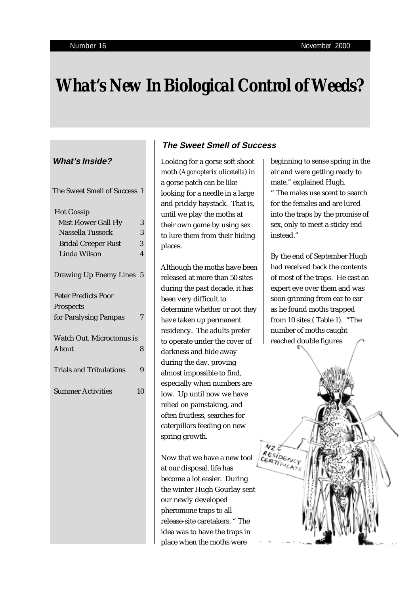# *What's New In Biological Control of Weeds?*

## **What's Inside?**

| The Sweet Smell of Success 1   |                |
|--------------------------------|----------------|
| <b>Hot Gossip</b>              |                |
| Mist Flower Gall Fly           | 3              |
| Nassella Tussock               | 3              |
| <b>Bridal Creeper Rust</b>     | 3              |
| Linda Wilson                   | $\overline{4}$ |
| <b>Drawing Up Enemy Lines</b>  | $\overline{5}$ |
| <b>Peter Predicts Poor</b>     |                |
| Prospects                      |                |
| for Paralysing Pampas          | 7              |
| Watch Out, Microctonus is      |                |
| About                          | 8              |
| <b>Trials and Tribulations</b> | 9              |
| <b>Summer Activities</b>       | 10             |
|                                |                |
|                                |                |
|                                |                |
|                                |                |
|                                |                |
|                                |                |
|                                |                |
|                                |                |
|                                |                |

# **The Sweet Smell of Success**

Looking for a gorse soft shoot moth (*Agonopterix ulicetella*) in a gorse patch can be like looking for a needle in a large and prickly haystack. That is, until we play the moths at their own game by using sex to lure them from their hiding places.

Although the moths have been released at more than 50 sites during the past decade, it has been very difficult to determine whether or not they have taken up permanent residency. The adults prefer to operate under the cover of darkness and hide away during the day, proving almost impossible to find, especially when numbers are low. Up until now we have relied on painstaking, and often fruitless, searches for caterpillars feeding on new spring growth.

Now that we have a new tool at our disposal, life has become a lot easier. During the winter Hugh Gourlay sent our newly developed pheromone traps to all release-site caretakers. " The idea was to have the traps in place when the moths were

beginning to sense spring in the air and were getting ready to mate," explained Hugh.

" The males use scent to search for the females and are lured into the traps by the promise of sex, only to meet a sticky end instead."

By the end of September Hugh had received back the contents of most of the traps. He cast an expert eye over them and was soon grinning from ear to ear as he found moths trapped from 10 sites ( Table 1). "The number of moths caught reached double figures

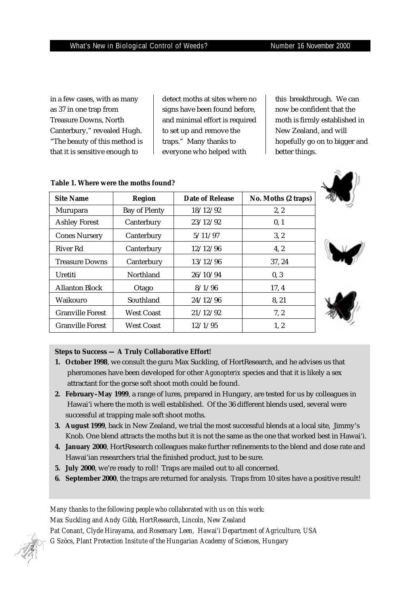in a few cases, with as many as 37 in one trap from Treasure Downs, North Canterbury," revealed Hugh. "The beauty of this method is that it is sensitive enough to

detect moths at sites where no signs have been found before, and minimal effort is required to set up and remove the traps." Many thanks to everyone who helped with

this breakthrough. We can now be confident that the moth is firmly established in New Zealand, and will hopefully go on to bigger and better things.

| <b>Site Name</b>        | <b>Region</b>        | Date of Release | No. Moths (2 traps) |
|-------------------------|----------------------|-----------------|---------------------|
| Murupara                | <b>Bay of Plenty</b> | 18/12/92        | 2, 2                |
| <b>Ashley Forest</b>    | Canterbury           | 23/12/92        | 0, 1                |
| <b>Cones Nursery</b>    | Canterbury           | 5/11/97         | 3, 2                |
| River Rd                | Canterbury           | 12/12/96        | 4, 2                |
| <b>Treasure Downs</b>   | Canterbury           | 13/12/96        | 37, 24              |
| Uretiti                 | Northland            | 26/10/94        | 0, 3                |
| <b>Allanton Block</b>   | Otago                | 8/1/96          | 17, 4               |
| Waikouro                | Southland            | 24/12/96        | 8, 21               |
| <b>Granville Forest</b> | <b>West Coast</b>    | 21/12/92        | 7, 2                |
| <b>Granville Forest</b> | <b>West Coast</b>    | 12/1/95         | 1, 2                |

#### **Table 1. Where were the moths found?**

#### **Steps to Success — A Truly Collaborative Effort!**

- **1. October 1998**, we consult the guru Max Suckling, of HortResearch, and he advises us that pheromones have been developed for other *Agonopterix* species and that it is likely a sex attractant for the gorse soft shoot moth could be found.
- **2. February–May 1999**, a range of lures, prepared in Hungary, are tested for us by colleagues in Hawai'i where the moth is well established. Of the 36 different blends used, several were successful at trapping male soft shoot moths.
- **3. August 1999**, back in New Zealand, we trial the most successful blends at a local site, Jimmy's Knob. One blend attracts the moths but it is not the same as the one that worked best in Hawai'i.
- **4. January 2000**, HortResearch colleagues make further refinements to the blend and dose rate and Hawai'ian researchers trial the finished product, just to be sure.
- **5. July 2000**, we're ready to roll! Traps are mailed out to all concerned.
- **6. September 2000**, the traps are returned for analysis. Traps from 10 sites have a positive result!

*Many thanks to the following people who collaborated with us on this work: Max Suckling and Andy Gibb, HortResearch, Lincoln, New Zealand Pat Conant, Clyde Hirayama, and Rosemary Leen, Hawai'i Department of Agriculture, USA G Szöcs, Plant Protection Insitute of the Hungarian Academy of Sciences, Hungary*

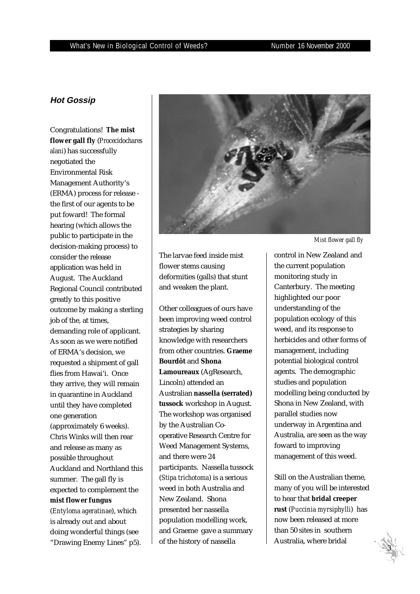### **Hot Gossip**

Congratulations! **The mist flower gall fly** (*Procecidochares alani*) has successfully negotiated the Environmental Risk Management Authority's (ERMA) process for release the first of our agents to be put foward! The formal hearing (which allows the public to participate in the decision-making process) to consider the release application was held in August. The Auckland Regional Council contributed greatly to this positive outcome by making a sterling job of the, at times, demanding role of applicant. As soon as we were notified of ERMA's decision, we requested a shipment of gall flies from Hawai'i. Once they arrive, they will remain in quarantine in Auckland until they have completed one generation (approximately 6 weeks). Chris Winks will then rear and release as many as possible throughout Auckland and Northland this summer. The gall fly is expected to complement the **mist flower fungus** (*Entyloma ageratinae*), which is already out and about doing wonderful things (see "Drawing Enemy Lines" p5).



The larvae feed inside mist flower stems causing deformities (galls) that stunt and weaken the plant.

Other colleagues of ours have been improving weed control strategies by sharing knowledge with researchers from other countries. **Graeme Bourdôt** and **Shona Lamoureaux** (AgResearch, Lincoln) attended an Australian **nassella (serrated) tussock** workshop in August. The workshop was organised by the Australian Cooperative Research Centre for Weed Management Systems, and there were 24 participants. Nassella tussock (*Stipa trichotoma*) is a serious weed in both Australia and New Zealand. Shona presented her nassella population modelling work, and Graeme gave a summary of the history of nassella

*Mist flower gall fly*

control in New Zealand and the current population monitoring study in Canterbury. The meeting highlighted our poor understanding of the population ecology of this weed, and its response to herbicides and other forms of management, including potential biological control agents. The demographic studies and population modelling being conducted by Shona in New Zealand, with parallel studies now underway in Argentina and Australia, are seen as the way foward to improving management of this weed.

Still on the Australian theme, many of you will be interested to hear that **bridal creeper rust** (*Puccinia myrsiphylli*) has now been released at more than 50 sites in southern Australia, where bridal

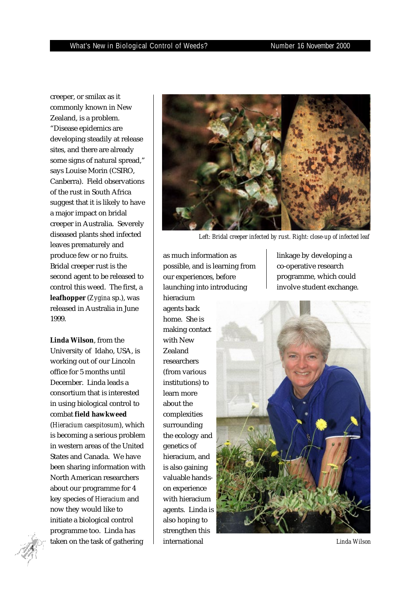creeper, or smilax as it commonly known in New Zealand, is a problem. "Disease epidemics are developing steadily at release sites, and there are already some signs of natural spread," says Louise Morin (CSIRO, Canberra). Field observations of the rust in South Africa suggest that it is likely to have a major impact on bridal creeper in Australia. Severely diseased plants shed infected leaves prematurely and produce few or no fruits. Bridal creeper rust is the second agent to be released to control this weed. The first, a **leafhopper** (*Zygina* sp.), was released in Australia in June 1999.

**Linda Wilson**, from the University of Idaho, USA, is working out of our Lincoln office for 5 months until December. Linda leads a consortium that is interested in using biological control to combat **field hawkweed** (*Hieracium caespitosum*), which is becoming a serious problem in western areas of the United States and Canada. We have been sharing information with North American researchers about our programme for 4 key species of *Hieracium* and now they would like to initiate a biological control programme too. Linda has taken on the task of gathering



*Left: Bridal creeper infected by rust. Right: close-up of infected leaf*

as much information as possible, and is learning from our experiences, before launching into introducing hieracium agents back home. She is making contact with New Zealand researchers (from various institutions) to learn more about the complexities surrounding the ecology and genetics of hieracium, and is also gaining valuable handson experience with hieracium agents. Linda is also hoping to strengthen this international *Linda Wilson*

linkage by developing a co-operative research programme, which could involve student exchange.



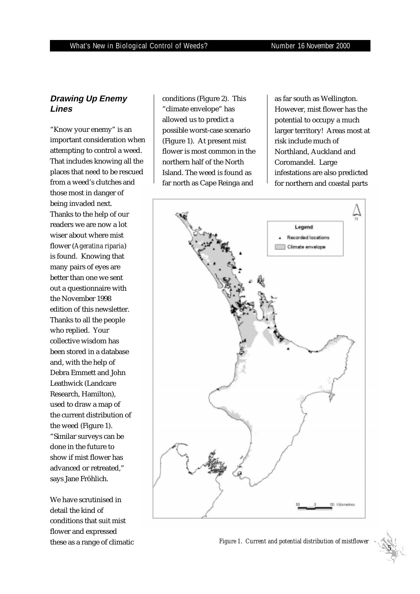## **Drawing Up Enemy Lines**

"Know your enemy" is an important consideration when attempting to control a weed. That includes knowing all the places that need to be rescued from a weed's clutches and those most in danger of being invaded next. Thanks to the help of our readers we are now a lot wiser about where mist flower (*Ageratina riparia*) is found. Knowing that many pairs of eyes are better than one we sent out a questionnaire with the November 1998 edition of this newsletter. Thanks to all the people who replied. Your collective wisdom has been stored in a database and, with the help of Debra Emmett and John Leathwick (Landcare Research, Hamilton), used to draw a map of the current distribution of the weed (Figure 1). "Similar surveys can be done in the future to show if mist flower has advanced or retreated," says Jane Fröhlich.

We have scrutinised in detail the kind of conditions that suit mist flower and expressed

conditions (Figure 2). This "climate envelope" has allowed us to predict a possible worst-case scenario (Figure 1). At present mist flower is most common in the northern half of the North Island. The weed is found as far north as Cape Reinga and

as far south as Wellington. However, mist flower has the potential to occupy a much larger territory! Areas most at risk include much of Northland, Auckland and Coromandel. Large infestations are also predicted for northern and coastal parts



these as a range of climatic *Figure 1. Current and potential distribution of mistflower*

 *5*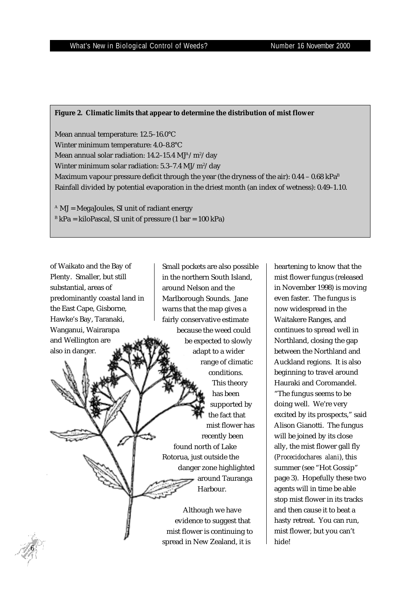### **Figure 2. Climatic limits that appear to determine the distribution of mist flower**

Mean annual temperature: 12.5–16.0°C Winter minimum temperature: 4.0–8.8°C Mean annual solar radiation: 14.2–15.4 MJ $^{\rm A}/\rm m^{\rm 2}/\rm day$ Winter minimum solar radiation: 5.3–7.4 MJ/m²/day Maximum vapour pressure deficit through the year (the dryness of the air):  $0.44 - 0.68$  kPa<sup>B</sup> Rainfall divided by potential evaporation in the driest month (an index of wetness): 0.49–1.10.

spread in New Zealand, it is

 $A$  MJ = MegaJoules, SI unit of radiant energy  $B$  kPa = kiloPascal, SI unit of pressure (1 bar = 100 kPa)

of Waikato and the Bay of Plenty. Smaller, but still substantial, areas of predominantly coastal land in the East Cape, Gisborne, Hawke's Bay, Taranaki, Wanganui, Wairarapa and Wellington are also in danger. Small pockets are also possible in the northern South Island, around Nelson and the Marlborough Sounds. Jane warns that the map gives a fairly conservative estimate because the weed could be expected to slowly adapt to a wider range of climatic conditions. This theory has been supported by the fact that mist flower has recently been found north of Lake Rotorua, just outside the danger zone highlighted around Tauranga Harbour. Although we have evidence to suggest that mist flower is continuing to

 *6*

mist flower fungus (released in November 1998) is moving even faster. The fungus is now widespread in the Waitakere Ranges, and continues to spread well in Northland, closing the gap between the Northland and Auckland regions. It is also beginning to travel around Hauraki and Coromandel. "The fungus seems to be doing well. We're very excited by its prospects," said Alison Gianotti. The fungus will be joined by its close ally, the mist flower gall fly (*Procecidochares alani*), this summer (see "Hot Gossip" page 3). Hopefully these two agents will in time be able stop mist flower in its tracks and then cause it to beat a hasty retreat. You can run, mist flower, but you can't hide!

heartening to know that the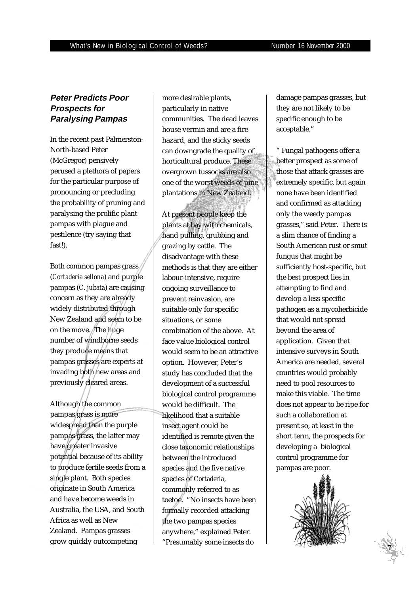## **Peter Predicts Poor Prospects for Paralysing Pampas**

In the recent past Palmerston-North-based Peter (McGregor) pensively perused a plethora of papers for the particular purpose of pronouncing or precluding the probability of pruning and paralysing the prolific plant pampas with plague and pestilence (try saying that fast!).

Both common pampas grass (*Cortaderia sellona*) and purple pampas (*C. jubata*) are causing concern as they are already widely distributed through New Zealand and seem to be on the move. The huge number of windborne seeds they produce means that pampas grasses are experts at invading both new areas and previously cleared areas.

Although the common pampas grass is more widespread than the purple pampas grass, the latter may have greater invasive potential because of its ability to produce fertile seeds from a single plant. Both species originate in South America and have become weeds in Australia, the USA, and South Africa as well as New Zealand. Pampas grasses grow quickly outcompeting

more desirable plants, particularly in native communities. The dead leaves house vermin and are a fire hazard, and the sticky seeds can downgrade the quality of horticultural produce. These overgrown tussocks are also one of the worst weeds of pine plantations in New Zealand.

At present people keep the plants at bay with chemicals, hand pulling, grubbing and grazing by cattle. The disadvantage with these methods is that they are either labour-intensive, require ongoing surveillance to prevent reinvasion, are suitable only for specific situations, or some combination of the above. At face value biological control would seem to be an attractive option. However, Peter's study has concluded that the development of a successful biological control programme would be difficult. The likelihood that a suitable insect agent could be identified is remote given the close taxonomic relationships between the introduced species and the five native species of *Cortaderia*, commonly referred to as toetoe. "No insects have been formally recorded attacking the two pampas species anywhere," explained Peter. "Presumably some insects do

damage pampas grasses, but they are not likely to be specific enough to be acceptable."

" Fungal pathogens offer a better prospect as some of those that attack grasses are extremely specific, but again none have been identified and confirmed as attacking only the weedy pampas grasses," said Peter. There is a slim chance of finding a South American rust or smut fungus that might be sufficiently host-specific, but the best prospect lies in attempting to find and develop a less specific pathogen as a mycoherbicide that would not spread beyond the area of application. Given that intensive surveys in South America are needed, several countries would probably need to pool resources to make this viable. The time does not appear to be ripe for such a collaboration at present so, at least in the short term, the prospects for developing a biological control programme for pampas are poor.



 *7*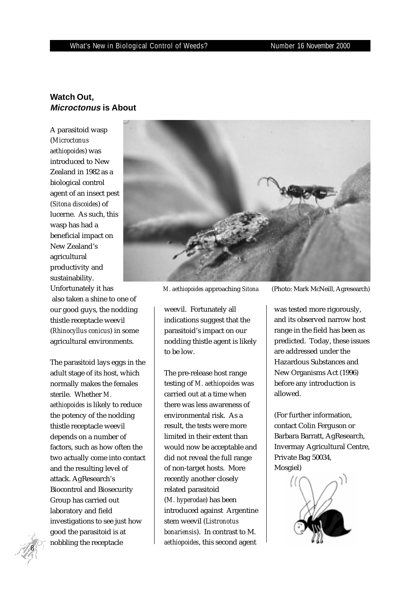#### What's New in Biological Control of Weeds? Number 16 November 2000

## **Watch Out, Microctonus is About**

A parasitoid wasp (*Microctonus aethiopoides*) was introduced to New Zealand in 1982 as a biological control agent of an insect pest (*Sitona discoides*) of lucerne. As such, this wasp has had a beneficial impact on New Zealand's agricultural productivity and sustainability. Unfortunately it has also taken a shine to one of our good guys, the nodding thistle receptacle weevil (*Rhinocyllus conicus*) in some agricultural environments.

The parasitoid lays eggs in the adult stage of its host, which normally makes the females sterile. Whether *M. aethiopoides* is likely to reduce the potency of the nodding thistle receptacle weevil depends on a number of factors, such as how often the two actually come into contact and the resulting level of attack. AgResearch's Biocontrol and Biosecurity Group has carried out laboratory and field investigations to see just how good the parasitoid is at nobbling the receptacle



weevil. Fortunately all indications suggest that the parasitoid's impact on our nodding thistle agent is likely to be low.

The pre-release host range testing of *M. aethiopoides* was carried out at a time when there was less awareness of environmental risk. As a result, the tests were more limited in their extent than would now be acceptable and did not reveal the full range of non-target hosts. More recently another closely related parasitoid (*M. hyperodae*) has been introduced against Argentine stem weevil (*Listronotus bonariensis*). In contrast to M. *aethiopoides*, this second agent

*M. aethiopoides* approaching *Sitona* (Photo: Mark McNeill, Agresearch)

was tested more rigorously, and its observed narrow host range in the field has been as predicted. Today, these issues are addressed under the Hazardous Substances and New Organisms Act (1996) before any introduction is allowed.

(For further information, contact Colin Ferguson or Barbara Barratt, AgResearch, Invermay Agricultural Centre, Private Bag 50034, Mosgiel)



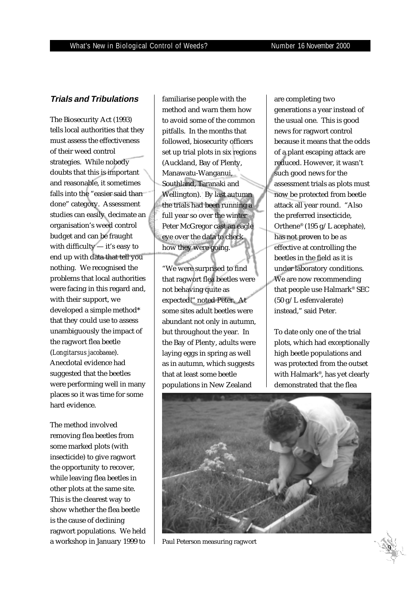#### **Trials and Tribulations**

The Biosecurity Act (1993) tells local authorities that they must assess the effectiveness of their weed control strategies. While nobody doubts that this is important and reasonable, it sometimes falls into the "easier said than done" category. Assessment studies can easily decimate an organisation's weed control budget and can be fraught with difficulty — it's easy to end up with data that tell you nothing. We recognised the problems that local authorities were facing in this regard and, with their support, we developed a simple method\* that they could use to assess unambiguously the impact of the ragwort flea beetle (*Longitarsus jacobaeae*). Anecdotal evidence had suggested that the beetles were performing well in many places so it was time for some hard evidence.

The method involved removing flea beetles from some marked plots (with insecticide) to give ragwort the opportunity to recover, while leaving flea beetles in other plots at the same site. This is the clearest way to show whether the flea beetle is the cause of declining ragwort populations. We held a workshop in January 1999 to

familiarise people with the method and warn them how to avoid some of the common pitfalls. In the months that followed, biosecurity officers set up trial plots in six regions (Auckland, Bay of Plenty, Manawatu-Wanganui, Southland, Taranaki and Wellington). By last autumn the trials had been running a full year so over the winter Peter McGregor cast an eagle eye over the data to check how they were going.

"We were surprised to find that ragwort flea beetles were not behaving quite as expected!" noted Peter. At some sites adult beetles were abundant not only in autumn, but throughout the year. In the Bay of Plenty, adults were laying eggs in spring as well as in autumn, which suggests that at least some beetle populations in New Zealand

reduced. However, it w<br>such good news for the are completing two generations a year instead of the usual one. This is good news for ragwort control because it means that the odds of a plant escaping attack are reduced. However, it wasn't assessment trials as plots must now be protected from beetle attack all year round. "Also the preferred insecticide, Orthene® (195 g/L acephate), has not proven to be as effective at controlling the beetles in the field as it is under laboratory conditions. We are now recommending that people use Halmark® SEC (50 g/L esfenvalerate) instead," said Peter.

To date only one of the trial plots, which had exceptionally high beetle populations and was protected from the outset with Halmark®, has yet clearly demonstrated that the flea



Paul Peterson measuring ragwort